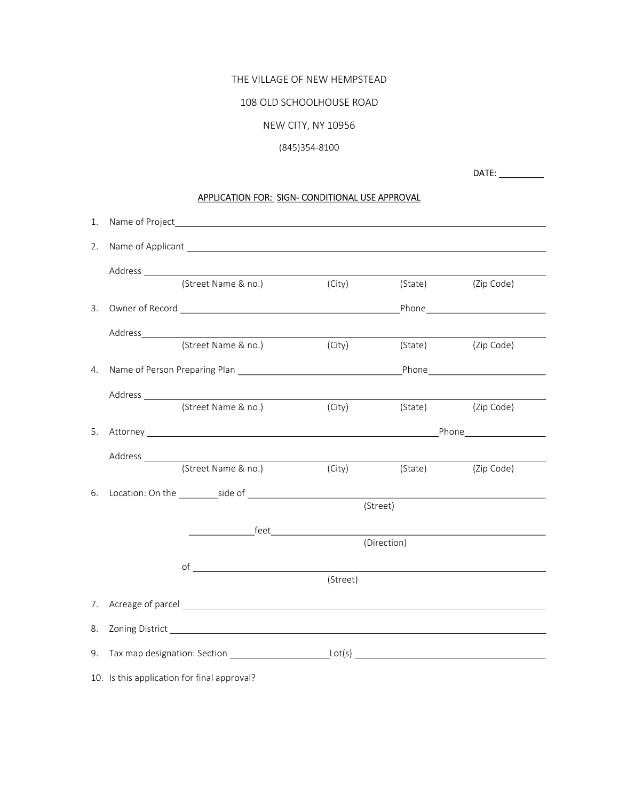# THE VILLAGE OF NEW HEMPSTEAD

## 108 OLD SCHOOLHOUSE ROAD

# NEW CITY, NY 10956

# (845)354-8100

DATE: \_\_\_\_\_\_\_\_\_

# APPLICATION FOR: SIGN- CONDITIONAL USE APPROVAL

| 2. |                                                                                                                                                                                                                                |          |             |                    |
|----|--------------------------------------------------------------------------------------------------------------------------------------------------------------------------------------------------------------------------------|----------|-------------|--------------------|
|    |                                                                                                                                                                                                                                |          |             |                    |
|    |                                                                                                                                                                                                                                |          | (State)     | (Zip Code)         |
| 3. |                                                                                                                                                                                                                                |          |             |                    |
|    |                                                                                                                                                                                                                                |          |             |                    |
|    | (Street Name & no.)                                                                                                                                                                                                            | (City)   | (State)     | (Zip Code)         |
| 4. |                                                                                                                                                                                                                                |          |             |                    |
|    |                                                                                                                                                                                                                                |          |             |                    |
|    | (Street Name & no.)                                                                                                                                                                                                            | (City)   |             | (State) (Zip Code) |
| 5. | Attorney Phone Phone Phone Phone Phone Phone Phone Phone Phone Phone Phone Phone Phone Phone Phone Phone Phone Phone Phone Phone Phone Phone Phone Phone Phone Phone Phone Phone Phone Phone Phone Phone Phone Phone Phone Pho |          |             |                    |
|    |                                                                                                                                                                                                                                |          |             |                    |
|    | (Street Name & no.)                                                                                                                                                                                                            | (City)   | (State)     | (Zip Code)         |
| 6. | Location: On the side of state of state of state of state of state of state of state of state of state of state of state of state of state of state of state of state of state of state of state of state of state of state of |          |             |                    |
|    |                                                                                                                                                                                                                                |          | (Street)    |                    |
|    |                                                                                                                                                                                                                                |          |             |                    |
|    |                                                                                                                                                                                                                                |          | (Direction) |                    |
|    | $of$ $\overline{\phantom{a}}$                                                                                                                                                                                                  | (Street) |             |                    |
|    |                                                                                                                                                                                                                                |          |             |                    |
| 7. |                                                                                                                                                                                                                                |          |             |                    |
| 8. |                                                                                                                                                                                                                                |          |             |                    |
| 9. |                                                                                                                                                                                                                                |          |             |                    |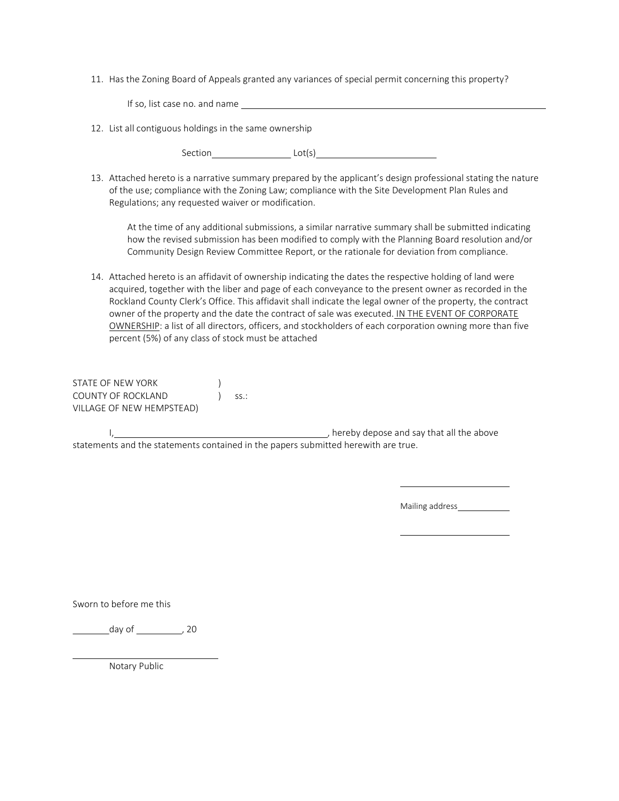11. Has the Zoning Board of Appeals granted any variances of special permit concerning this property?

| If so, list case no. and name                                                                                |  |  |  |  |
|--------------------------------------------------------------------------------------------------------------|--|--|--|--|
| 12. List all contiguous holdings in the same ownership                                                       |  |  |  |  |
| Lot(s)<br>Section                                                                                            |  |  |  |  |
| 12 Attached bereto is a parrative summary prepared by the applicant's design professional stating the pature |  |  |  |  |

13. Attached hereto is a narrative summary prepared by the applicant's design professional stating the nature of the use; compliance with the Zoning Law; compliance with the Site Development Plan Rules and Regulations; any requested waiver or modification.

At the time of any additional submissions, a similar narrative summary shall be submitted indicating how the revised submission has been modified to comply with the Planning Board resolution and/or Community Design Review Committee Report, or the rationale for deviation from compliance.

14. Attached hereto is an affidavit of ownership indicating the dates the respective holding of land were acquired, together with the liber and page of each conveyance to the present owner as recorded in the Rockland County Clerk's Office. This affidavit shall indicate the legal owner of the property, the contract owner of the property and the date the contract of sale was executed. IN THE EVENT OF CORPORATE OWNERSHIP: a list of all directors, officers, and stockholders of each corporation owning more than five percent (5%) of any class of stock must be attached

STATE OF NEW YORK (1997) COUNTY OF ROCKLAND (SS.: VILLAGE OF NEW HEMPSTEAD)

 I, , hereby depose and say that all the above statements and the statements contained in the papers submitted herewith are true.

Mailing address\_

Sworn to before me this

day of \_\_\_\_\_\_\_\_\_\_\_\_, 20

Notary Public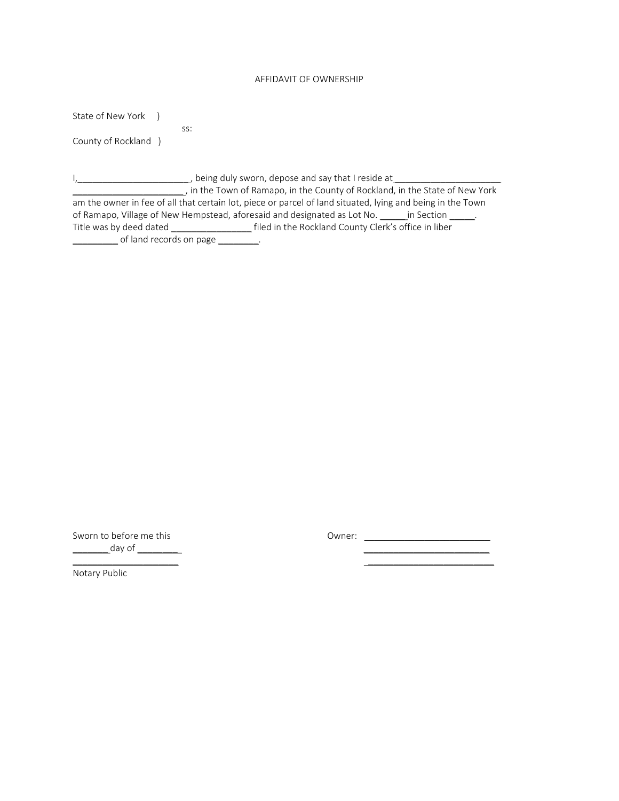# AFFIDAVIT OF OWNERSHIP

State of New York )

ss:

County of Rockland )

I,\_\_\_\_\_\_\_\_\_\_\_\_\_\_\_\_\_\_\_\_\_\_ , being duly sworn, depose and say that I reside at \_\_\_\_\_\_\_\_\_\_\_\_\_\_\_\_\_\_\_\_\_ \_\_\_\_\_\_\_\_\_\_\_\_\_\_\_\_\_\_\_\_\_\_ , in the Town of Ramapo, in the County of Rockland, in the State of New York am the owner in fee of all that certain lot, piece or parcel of land situated, lying and being in the Town of Ramapo, Village of New Hempstead, aforesaid and designated as Lot No. \_\_\_\_\_in Section \_\_\_\_\_. Title was by deed dated \_\_\_\_\_\_\_\_\_\_\_\_\_\_\_\_\_\_\_\_\_\_\_\_filed in the Rockland County Clerk's office in liber \_\_\_\_\_\_\_\_\_ of land records on page \_\_\_\_\_\_\_\_.

Sworn to before me this example and the Country Countries Countries are contained by Owner: \_\_\_\_\_\_\_ day of \_\_\_\_\_\_\_\_ \_\_\_\_\_\_\_\_\_\_\_\_\_\_\_\_\_\_\_\_\_\_\_\_\_

 $\frac{1}{2}$  ,  $\frac{1}{2}$  ,  $\frac{1}{2}$  ,  $\frac{1}{2}$  ,  $\frac{1}{2}$  ,  $\frac{1}{2}$  ,  $\frac{1}{2}$  ,  $\frac{1}{2}$  ,  $\frac{1}{2}$  ,  $\frac{1}{2}$  ,  $\frac{1}{2}$  ,  $\frac{1}{2}$  ,  $\frac{1}{2}$  ,  $\frac{1}{2}$  ,  $\frac{1}{2}$  ,  $\frac{1}{2}$  ,  $\frac{1}{2}$  ,  $\frac{1}{2}$  ,  $\frac{1$ 

Notary Public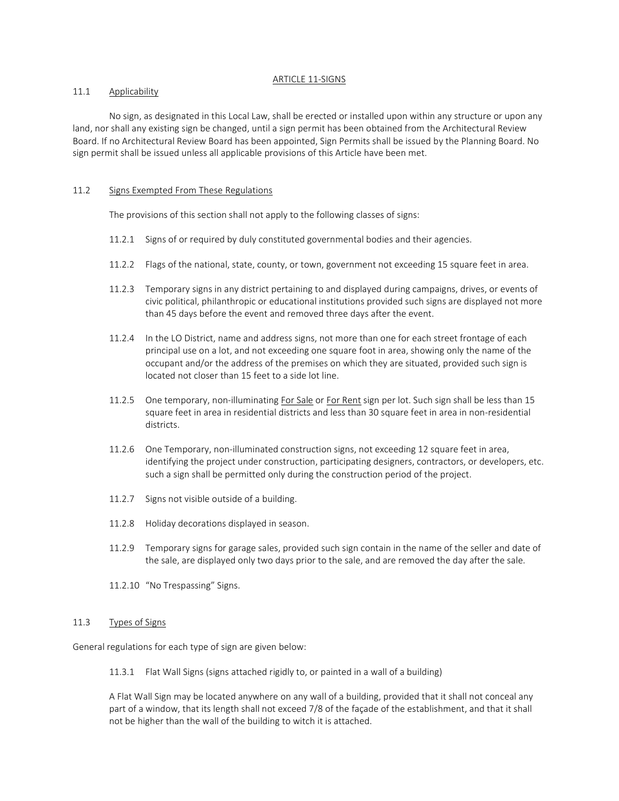#### ARTICLE 11-SIGNS

## 11.1 Applicability

 No sign, as designated in this Local Law, shall be erected or installed upon within any structure or upon any land, nor shall any existing sign be changed, until a sign permit has been obtained from the Architectural Review Board. If no Architectural Review Board has been appointed, Sign Permits shall be issued by the Planning Board. No sign permit shall be issued unless all applicable provisions of this Article have been met.

## 11.2 Signs Exempted From These Regulations

The provisions of this section shall not apply to the following classes of signs:

- 11.2.1 Signs of or required by duly constituted governmental bodies and their agencies.
- 11.2.2 Flags of the national, state, county, or town, government not exceeding 15 square feet in area.
- 11.2.3 Temporary signs in any district pertaining to and displayed during campaigns, drives, or events of civic political, philanthropic or educational institutions provided such signs are displayed not more than 45 days before the event and removed three days after the event.
- 11.2.4 In the LO District, name and address signs, not more than one for each street frontage of each principal use on a lot, and not exceeding one square foot in area, showing only the name of the occupant and/or the address of the premises on which they are situated, provided such sign is located not closer than 15 feet to a side lot line.
- 11.2.5 One temporary, non-illuminating For Sale or For Rent sign per lot. Such sign shall be less than 15 square feet in area in residential districts and less than 30 square feet in area in non-residential districts.
- 11.2.6 One Temporary, non-illuminated construction signs, not exceeding 12 square feet in area, identifying the project under construction, participating designers, contractors, or developers, etc. such a sign shall be permitted only during the construction period of the project.
- 11.2.7 Signs not visible outside of a building.
- 11.2.8 Holiday decorations displayed in season.
- 11.2.9 Temporary signs for garage sales, provided such sign contain in the name of the seller and date of the sale, are displayed only two days prior to the sale, and are removed the day after the sale.
- 11.2.10 "No Trespassing" Signs.

## 11.3 Types of Signs

General regulations for each type of sign are given below:

11.3.1 Flat Wall Signs (signs attached rigidly to, or painted in a wall of a building)

A Flat Wall Sign may be located anywhere on any wall of a building, provided that it shall not conceal any part of a window, that its length shall not exceed 7/8 of the façade of the establishment, and that it shall not be higher than the wall of the building to witch it is attached.